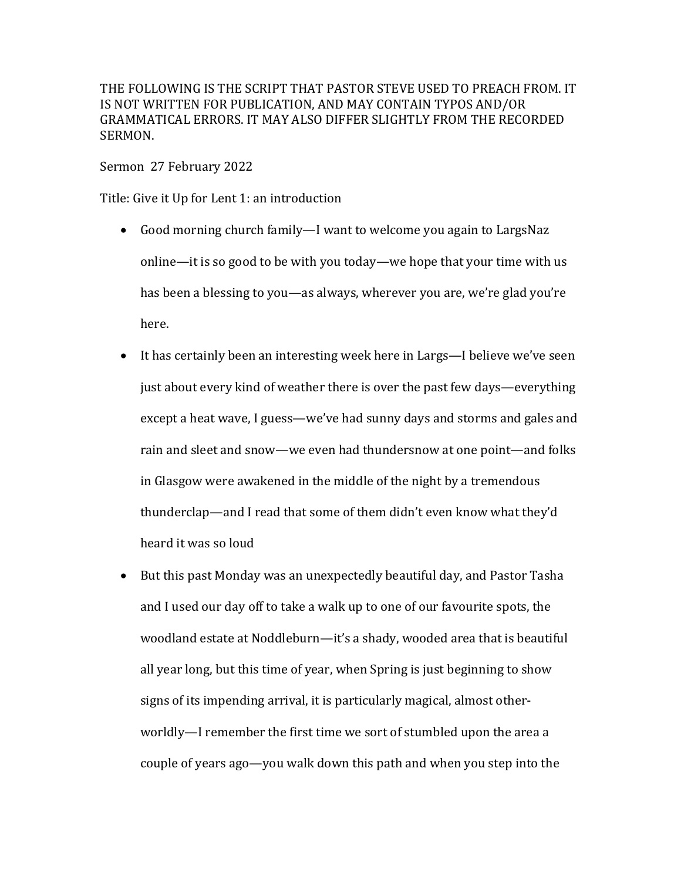THE FOLLOWING IS THE SCRIPT THAT PASTOR STEVE USED TO PREACH FROM. IT IS NOT WRITTEN FOR PUBLICATION, AND MAY CONTAIN TYPOS AND/OR GRAMMATICAL ERRORS. IT MAY ALSO DIFFER SLIGHTLY FROM THE RECORDED SERMON.

Sermon 27 February 2022

Title: Give it Up for Lent 1: an introduction

- Good morning church family—I want to welcome you again to LargsNaz online—it is so good to be with you today—we hope that your time with us has been a blessing to you—as always, wherever you are, we're glad you're here.
- It has certainly been an interesting week here in Largs—I believe we've seen just about every kind of weather there is over the past few days—everything except a heat wave, I guess—we've had sunny days and storms and gales and rain and sleet and snow—we even had thundersnow at one point—and folks in Glasgow were awakened in the middle of the night by a tremendous thunderclap—and I read that some of them didn't even know what they'd heard it was so loud
- But this past Monday was an unexpectedly beautiful day, and Pastor Tasha and I used our day off to take a walk up to one of our favourite spots, the woodland estate at Noddleburn—it's a shady, wooded area that is beautiful all year long, but this time of year, when Spring is just beginning to show signs of its impending arrival, it is particularly magical, almost otherworldly—I remember the first time we sort of stumbled upon the area a couple of years ago—you walk down this path and when you step into the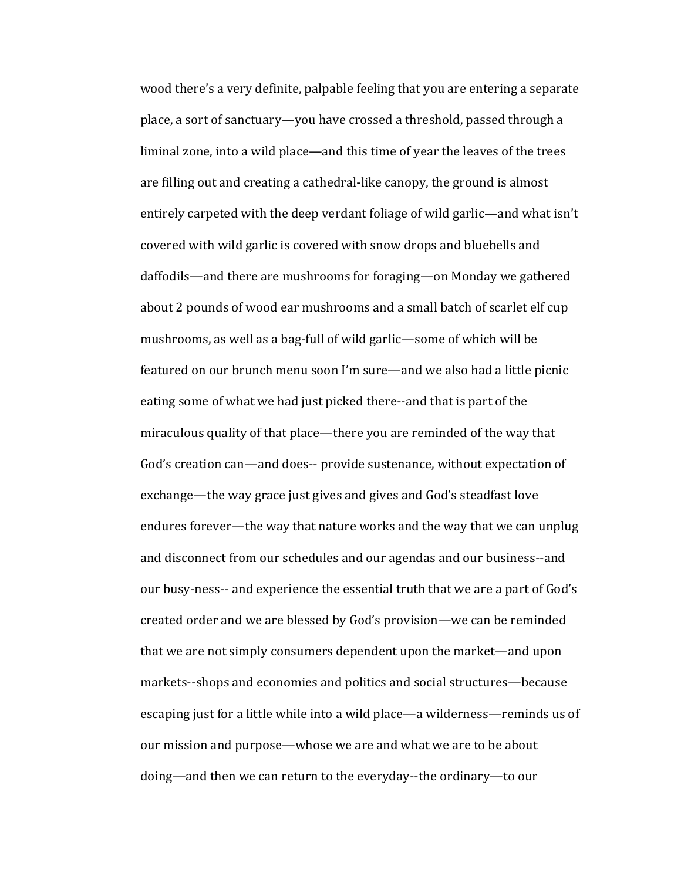wood there's a very definite, palpable feeling that you are entering a separate place, a sort of sanctuary—you have crossed a threshold, passed through a liminal zone, into a wild place—and this time of year the leaves of the trees are filling out and creating a cathedral-like canopy, the ground is almost entirely carpeted with the deep verdant foliage of wild garlic—and what isn't covered with wild garlic is covered with snow drops and bluebells and daffodils—and there are mushrooms for foraging—on Monday we gathered about 2 pounds of wood ear mushrooms and a small batch of scarlet elf cup mushrooms, as well as a bag-full of wild garlic—some of which will be featured on our brunch menu soon I'm sure—and we also had a little picnic eating some of what we had just picked there--and that is part of the miraculous quality of that place—there you are reminded of the way that God's creation can—and does-- provide sustenance, without expectation of exchange—the way grace just gives and gives and God's steadfast love endures forever—the way that nature works and the way that we can unplug and disconnect from our schedules and our agendas and our business--and our busy-ness-- and experience the essential truth that we are a part of God's created order and we are blessed by God's provision—we can be reminded that we are not simply consumers dependent upon the market—and upon markets--shops and economies and politics and social structures—because escaping just for a little while into a wild place—a wilderness—reminds us of our mission and purpose—whose we are and what we are to be about doing—and then we can return to the everyday--the ordinary—to our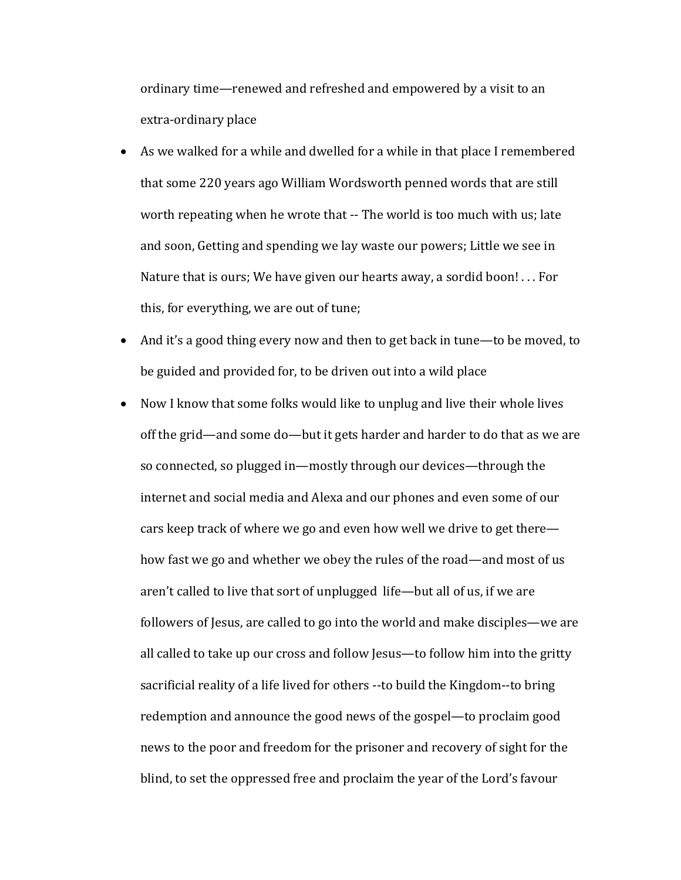ordinary time—renewed and refreshed and empowered by a visit to an extra-ordinary place

- As we walked for a while and dwelled for a while in that place I remembered that some 220 years ago William Wordsworth penned words that are still worth repeating when he wrote that -- The world is too much with us; late and soon, Getting and spending we lay waste our powers; Little we see in Nature that is ours; We have given our hearts away, a sordid boon!  $\dots$  For this, for everything, we are out of tune;
- And it's a good thing every now and then to get back in tune—to be moved, to be guided and provided for, to be driven out into a wild place
- Now I know that some folks would like to unplug and live their whole lives off the grid—and some do—but it gets harder and harder to do that as we are so connected, so plugged in—mostly through our devices—through the internet and social media and Alexa and our phones and even some of our cars keep track of where we go and even how well we drive to get there how fast we go and whether we obey the rules of the road—and most of us aren't called to live that sort of unplugged life—but all of us, if we are followers of Jesus, are called to go into the world and make disciples—we are all called to take up our cross and follow Jesus—to follow him into the gritty sacrificial reality of a life lived for others --to build the Kingdom--to bring redemption and announce the good news of the gospel—to proclaim good news to the poor and freedom for the prisoner and recovery of sight for the blind, to set the oppressed free and proclaim the year of the Lord's favour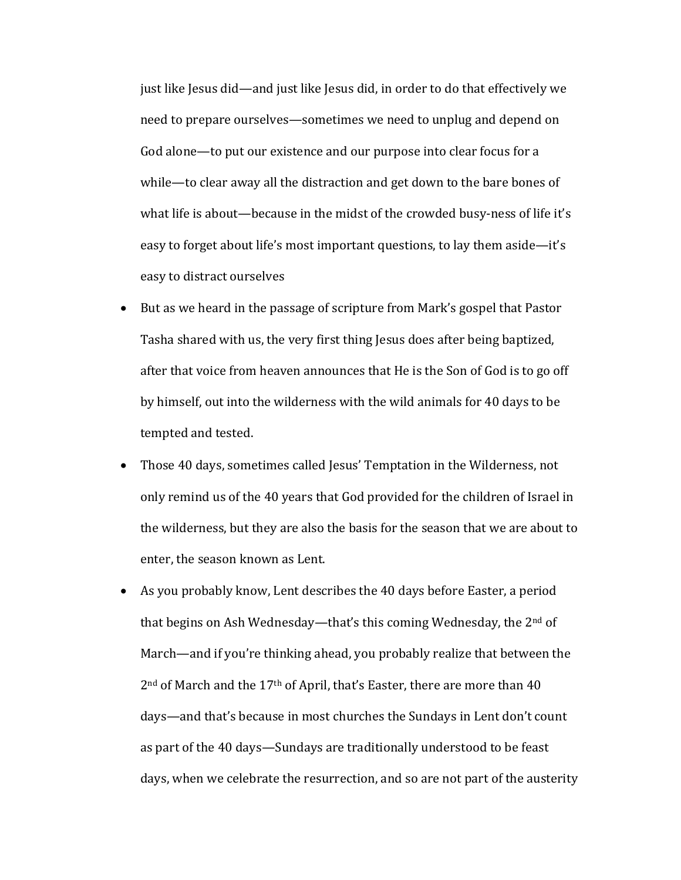just like Jesus did—and just like Jesus did, in order to do that effectively we need to prepare ourselves—sometimes we need to unplug and depend on God alone—to put our existence and our purpose into clear focus for a while—to clear away all the distraction and get down to the bare bones of what life is about—because in the midst of the crowded busy-ness of life it's easy to forget about life's most important questions, to lay them aside—it's easy to distract ourselves

- But as we heard in the passage of scripture from Mark's gospel that Pastor Tasha shared with us, the very first thing Jesus does after being baptized, after that voice from heaven announces that He is the Son of God is to go off by himself, out into the wilderness with the wild animals for 40 days to be tempted and tested.
- Those 40 days, sometimes called Jesus' Temptation in the Wilderness, not only remind us of the 40 years that God provided for the children of Israel in the wilderness, but they are also the basis for the season that we are about to enter, the season known as Lent.
- As you probably know, Lent describes the 40 days before Easter, a period that begins on Ash Wednesday—that's this coming Wednesday, the  $2<sup>nd</sup>$  of March—and if you're thinking ahead, you probably realize that between the  $2<sup>nd</sup>$  of March and the 17<sup>th</sup> of April, that's Easter, there are more than 40 days—and that's because in most churches the Sundays in Lent don't count as part of the 40 days—Sundays are traditionally understood to be feast days, when we celebrate the resurrection, and so are not part of the austerity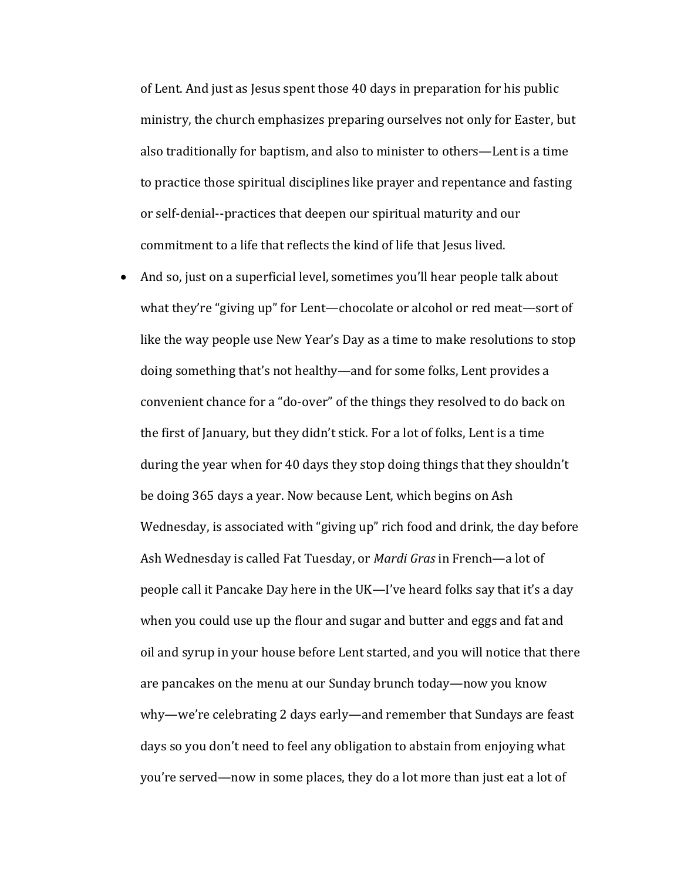of Lent. And just as Jesus spent those 40 days in preparation for his public ministry, the church emphasizes preparing ourselves not only for Easter, but also traditionally for baptism, and also to minister to others—Lent is a time to practice those spiritual disciplines like prayer and repentance and fasting or self-denial--practices that deepen our spiritual maturity and our commitment to a life that reflects the kind of life that Jesus lived.

• And so, just on a superficial level, sometimes you'll hear people talk about what they're "giving up" for Lent—chocolate or alcohol or red meat—sort of like the way people use New Year's Day as a time to make resolutions to stop doing something that's not healthy—and for some folks, Lent provides a convenient chance for a "do-over" of the things they resolved to do back on the first of January, but they didn't stick. For a lot of folks, Lent is a time during the year when for 40 days they stop doing things that they shouldn't be doing 365 days a year. Now because Lent, which begins on Ash Wednesday, is associated with "giving up" rich food and drink, the day before Ash Wednesday is called Fat Tuesday, or *Mardi Gras* in French—a lot of people call it Pancake Day here in the UK—I've heard folks say that it's a day when you could use up the flour and sugar and butter and eggs and fat and oil and syrup in your house before Lent started, and you will notice that there are pancakes on the menu at our Sunday brunch today—now you know why—we're celebrating 2 days early—and remember that Sundays are feast days so you don't need to feel any obligation to abstain from enjoying what you're served—now in some places, they do a lot more than just eat a lot of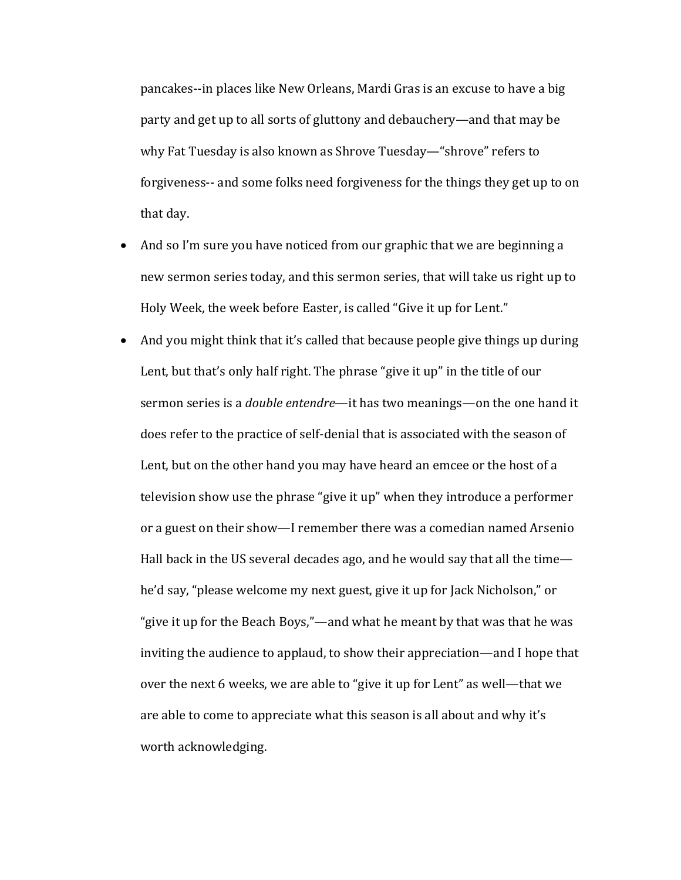pancakes--in places like New Orleans, Mardi Gras is an excuse to have a big party and get up to all sorts of gluttony and debauchery—and that may be why Fat Tuesday is also known as Shrove Tuesday—"shrove" refers to forgiveness-- and some folks need forgiveness for the things they get up to on that day.

- And so I'm sure you have noticed from our graphic that we are beginning a new sermon series today, and this sermon series, that will take us right up to Holy Week, the week before Easter, is called "Give it up for Lent."
- And you might think that it's called that because people give things up during Lent, but that's only half right. The phrase "give it up" in the title of our sermon series is a *double entendre*—it has two meanings—on the one hand it does refer to the practice of self-denial that is associated with the season of Lent, but on the other hand you may have heard an emcee or the host of a television show use the phrase "give it up" when they introduce a performer or a guest on their show—I remember there was a comedian named Arsenio Hall back in the US several decades ago, and he would say that all the time he'd say, "please welcome my next guest, give it up for Jack Nicholson," or "give it up for the Beach Boys,"—and what he meant by that was that he was inviting the audience to applaud, to show their appreciation—and I hope that over the next 6 weeks, we are able to "give it up for Lent" as well—that we are able to come to appreciate what this season is all about and why it's worth acknowledging.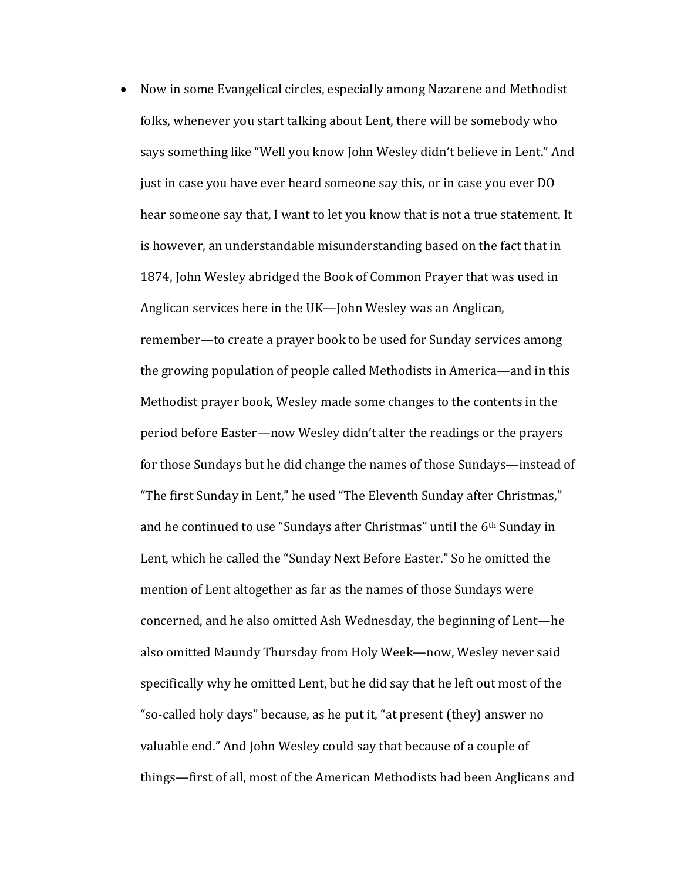• Now in some Evangelical circles, especially among Nazarene and Methodist folks, whenever you start talking about Lent, there will be somebody who says something like "Well you know John Wesley didn't believe in Lent." And just in case you have ever heard someone say this, or in case you ever DO hear someone say that, I want to let you know that is not a true statement. It is however, an understandable misunderstanding based on the fact that in 1874, John Wesley abridged the Book of Common Prayer that was used in Anglican services here in the UK—John Wesley was an Anglican, remember—to create a prayer book to be used for Sunday services among the growing population of people called Methodists in America—and in this Methodist prayer book, Wesley made some changes to the contents in the period before Easter—now Wesley didn't alter the readings or the prayers for those Sundays but he did change the names of those Sundays—instead of "The first Sunday in Lent," he used "The Eleventh Sunday after Christmas," and he continued to use "Sundays after Christmas" until the  $6<sup>th</sup>$  Sunday in Lent, which he called the "Sunday Next Before Easter." So he omitted the mention of Lent altogether as far as the names of those Sundays were concerned, and he also omitted Ash Wednesday, the beginning of Lent-he also omitted Maundy Thursday from Holy Week—now, Wesley never said specifically why he omitted Lent, but he did say that he left out most of the "so-called holy days" because, as he put it, "at present (they) answer no valuable end." And John Wesley could say that because of a couple of things—first of all, most of the American Methodists had been Anglicans and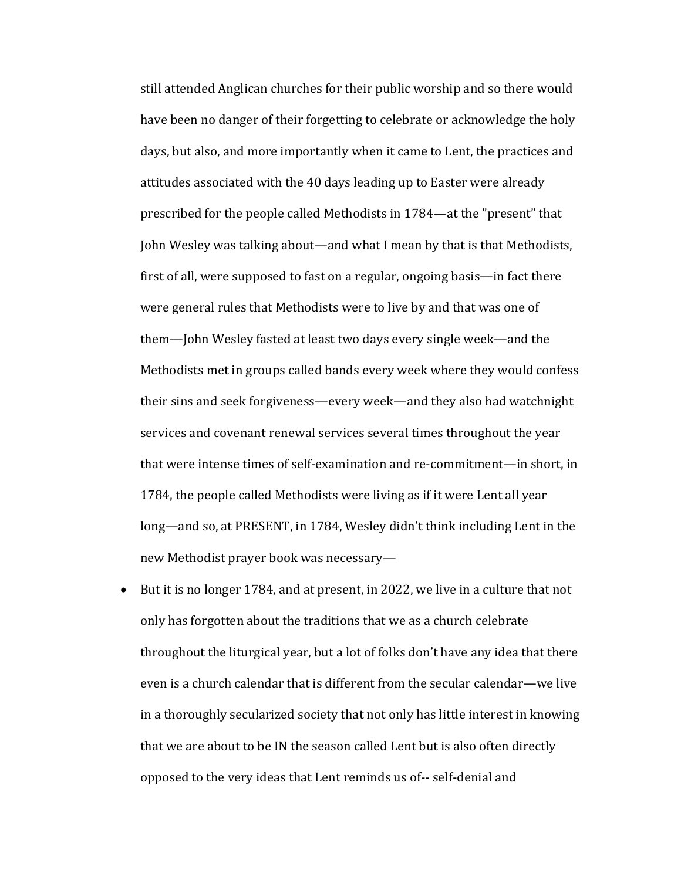still attended Anglican churches for their public worship and so there would have been no danger of their forgetting to celebrate or acknowledge the holy days, but also, and more importantly when it came to Lent, the practices and attitudes associated with the 40 days leading up to Easter were already prescribed for the people called Methodists in 1784—at the "present" that John Wesley was talking about—and what I mean by that is that Methodists, first of all, were supposed to fast on a regular, ongoing basis—in fact there were general rules that Methodists were to live by and that was one of them—John Wesley fasted at least two days every single week—and the Methodists met in groups called bands every week where they would confess their sins and seek forgiveness—every week—and they also had watchnight services and covenant renewal services several times throughout the year that were intense times of self-examination and re-commitment—in short, in 1784, the people called Methodists were living as if it were Lent all year long—and so, at PRESENT, in 1784, Wesley didn't think including Lent in the new Methodist prayer book was necessary-

• But it is no longer 1784, and at present, in 2022, we live in a culture that not only has forgotten about the traditions that we as a church celebrate throughout the liturgical year, but a lot of folks don't have any idea that there even is a church calendar that is different from the secular calendar—we live in a thoroughly secularized society that not only has little interest in knowing that we are about to be IN the season called Lent but is also often directly opposed to the very ideas that Lent reminds us of-- self-denial and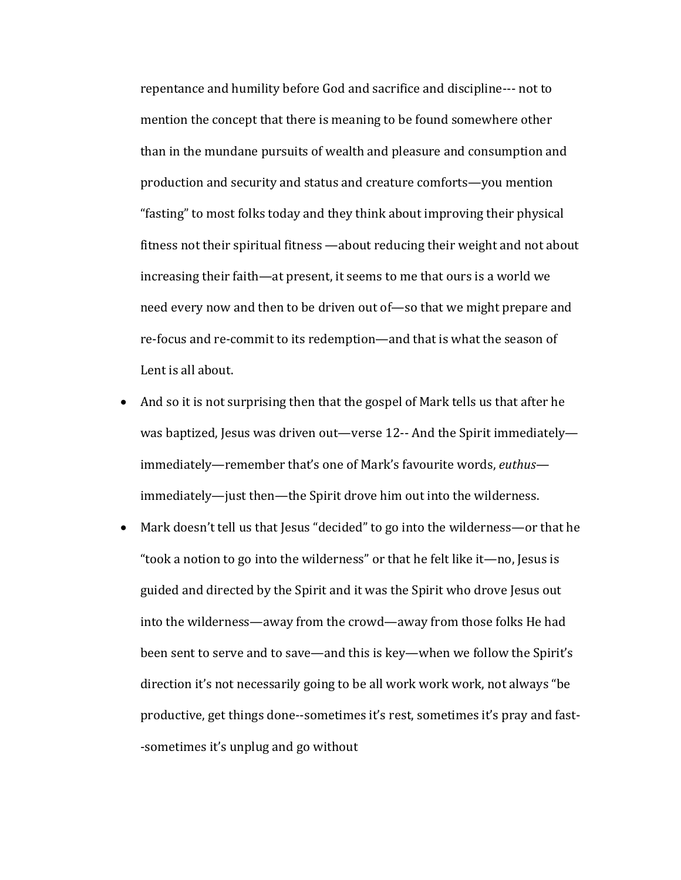repentance and humility before God and sacrifice and discipline--- not to mention the concept that there is meaning to be found somewhere other than in the mundane pursuits of wealth and pleasure and consumption and production and security and status and creature comforts—you mention "fasting" to most folks today and they think about improving their physical fitness not their spiritual fitness -about reducing their weight and not about increasing their faith—at present, it seems to me that ours is a world we need every now and then to be driven out of—so that we might prepare and re-focus and re-commit to its redemption—and that is what the season of Lent is all about.

- And so it is not surprising then that the gospel of Mark tells us that after he was baptized, Jesus was driven out—verse 12-- And the Spirit immediately immediately—remember that's one of Mark's favourite words, *euthus* immediately—just then—the Spirit drove him out into the wilderness.
- Mark doesn't tell us that Jesus "decided" to go into the wilderness—or that he "took a notion to go into the wilderness" or that he felt like it—no, Jesus is guided and directed by the Spirit and it was the Spirit who drove Jesus out into the wilderness—away from the crowd—away from those folks He had been sent to serve and to save—and this is key—when we follow the Spirit's direction it's not necessarily going to be all work work work, not always "be productive, get things done--sometimes it's rest, sometimes it's pray and fast--sometimes it's unplug and go without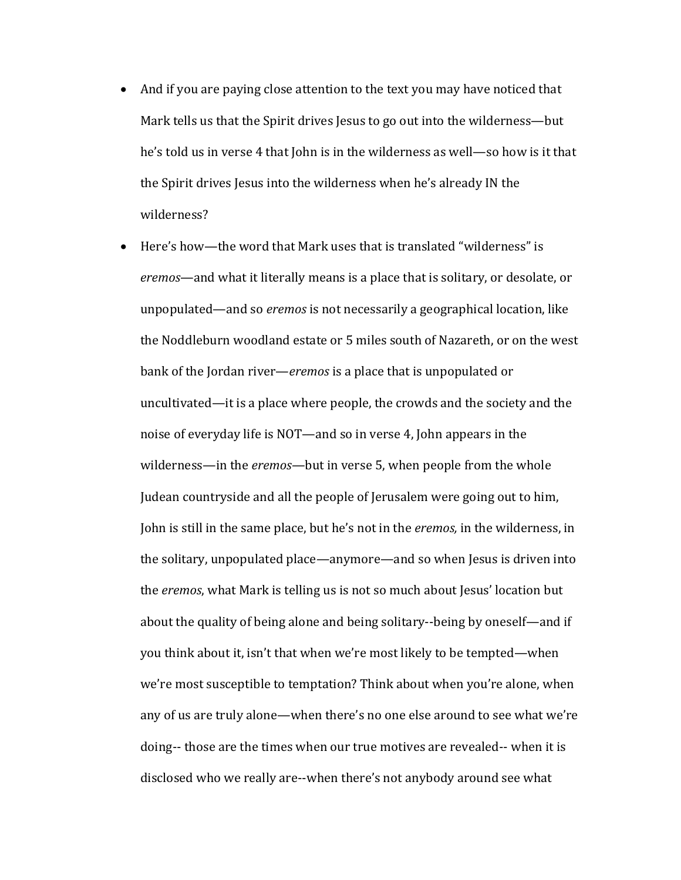- And if you are paying close attention to the text you may have noticed that Mark tells us that the Spirit drives Jesus to go out into the wilderness—but he's told us in verse 4 that John is in the wilderness as well—so how is it that the Spirit drives Jesus into the wilderness when he's already IN the wilderness?
- Here's how—the word that Mark uses that is translated "wilderness" is *eremos*—and what it literally means is a place that is solitary, or desolate, or unpopulated—and so *eremos* is not necessarily a geographical location, like the Noddleburn woodland estate or 5 miles south of Nazareth, or on the west bank of the Jordan river—*eremos* is a place that is unpopulated or uncultivated—it is a place where people, the crowds and the society and the noise of everyday life is NOT—and so in verse 4, John appears in the wilderness—in the *eremos*—but in verse 5, when people from the whole Judean countryside and all the people of Jerusalem were going out to him, John is still in the same place, but he's not in the *eremos*, in the wilderness, in the solitary, unpopulated place—anymore—and so when Jesus is driven into the *eremos*, what Mark is telling us is not so much about Jesus' location but about the quality of being alone and being solitary--being by oneself—and if you think about it, isn't that when we're most likely to be tempted—when we're most susceptible to temptation? Think about when you're alone, when any of us are truly alone—when there's no one else around to see what we're doing-- those are the times when our true motives are revealed-- when it is disclosed who we really are--when there's not anybody around see what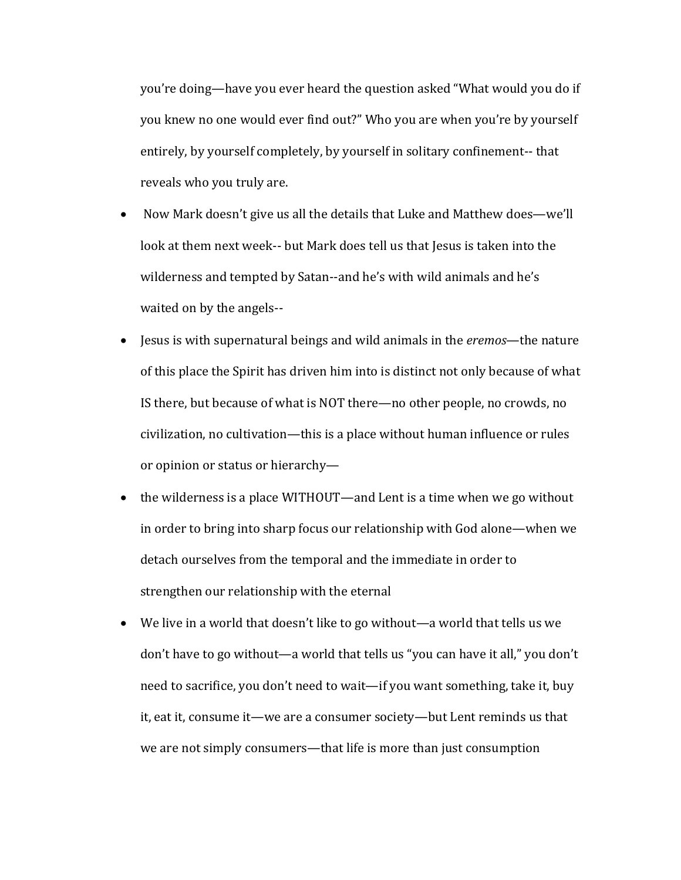you're doing—have you ever heard the question asked "What would you do if you knew no one would ever find out?" Who you are when you're by yourself entirely, by yourself completely, by yourself in solitary confinement-- that reveals who you truly are.

- Now Mark doesn't give us all the details that Luke and Matthew does—we'll look at them next week-- but Mark does tell us that lesus is taken into the wilderness and tempted by Satan--and he's with wild animals and he's waited on by the angels--
- Jesus is with supernatural beings and wild animals in the *eremos*—the nature of this place the Spirit has driven him into is distinct not only because of what IS there, but because of what is NOT there—no other people, no crowds, no civilization, no cultivation—this is a place without human influence or rules or opinion or status or hierarchy-
- the wilderness is a place WITHOUT—and Lent is a time when we go without in order to bring into sharp focus our relationship with God alone—when we detach ourselves from the temporal and the immediate in order to strengthen our relationship with the eternal
- We live in a world that doesn't like to go without—a world that tells us we don't have to go without—a world that tells us "you can have it all," you don't need to sacrifice, you don't need to wait—if you want something, take it, buy it, eat it, consume it—we are a consumer society—but Lent reminds us that we are not simply consumers—that life is more than just consumption